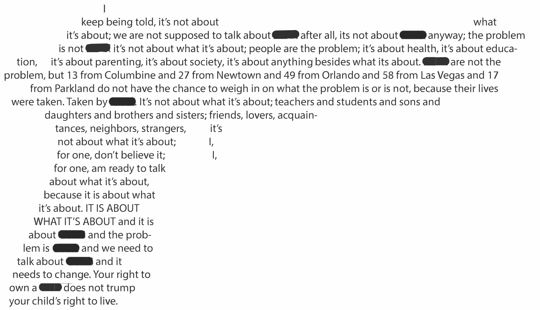keep being told, it's not about what what what it's about; we are not supposed to talk about and after all, its not about anyway; the problem is not it's not about what it's about; people are the problem; it's about health, it's about education, it's about parenting, it's about society, it's about anything besides what its about.  $\blacksquare$  are not the problem, but 13 from Columbine and 27 from Newtown and 49 from Orlando and 58 from Las Vegas and 17 from Parkland do not have the chance to weigh in on what the problem is or is not, because their lives were taken. Taken by  $\blacksquare$  . It's not about what it's about; teachers and students and sons and daughters and brothers and sisters; friends, lovers, acquaintances, neighbors, strangers, it's not about what it's about;  $\qquad \qquad$  I, for one, don't believe it; for one, am ready to talk about what it's about, because it is about what it's about. IT IS ABOUT WHAT IT'S ABOUT and it is about **Change and the prob**lem is **Comparent Property** and we need to talk about and it needs to change. Your right to own a **b** does not trump your child's right to live.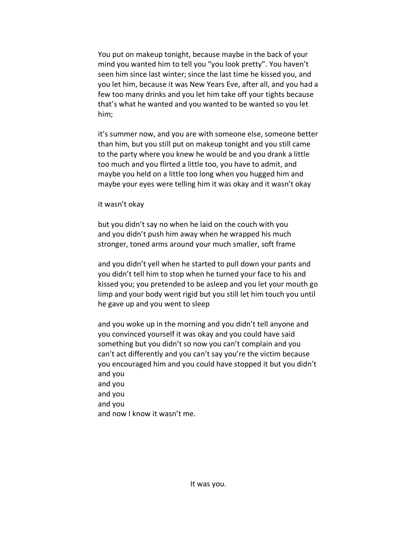You put on makeup tonight, because maybe in the back of your mind you wanted him to tell you "you look pretty". You haven't seen him since last winter; since the last time he kissed you, and you let him, because it was New Years Eve, after all, and you had a few too many drinks and you let him take off your tights because that's what he wanted and you wanted to be wanted so you let him;

it's summer now, and you are with someone else, someone better than him, but you still put on makeup tonight and you still came to the party where you knew he would be and you drank a little too much and you flirted a little too, you have to admit, and maybe you held on a little too long when you hugged him and maybe your eyes were telling him it was okay and it wasn't okay

it wasn't okay

but you didn't say no when he laid on the couch with you and you didn't push him away when he wrapped his much stronger, toned arms around your much smaller, soft frame

and you didn't yell when he started to pull down your pants and you didn't tell him to stop when he turned your face to his and kissed you; you pretended to be asleep and you let your mouth go limp and your body went rigid but you still let him touch you until he gave up and you went to sleep

and you woke up in the morning and you didn't tell anyone and you convinced yourself it was okay and you could have said something but you didn't so now you can't complain and you can't act differently and you can't say you're the victim because you encouraged him and you could have stopped it but you didn't and you and you and you and you and now I know it wasn't me.